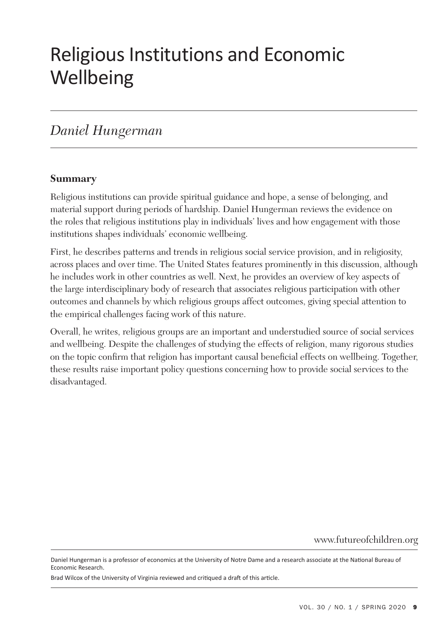# Religious Institutions and Economic Wellbeing

# *Daniel Hungerman*

### **Summary**

Religious institutions can provide spiritual guidance and hope, a sense of belonging, and material support during periods of hardship. Daniel Hungerman reviews the evidence on the roles that religious institutions play in individuals' lives and how engagement with those institutions shapes individuals' economic wellbeing.

First, he describes patterns and trends in religious social service provision, and in religiosity, across places and over time. The United States features prominently in this discussion, although he includes work in other countries as well. Next, he provides an overview of key aspects of the large interdisciplinary body of research that associates religious participation with other outcomes and channels by which religious groups affect outcomes, giving special attention to the empirical challenges facing work of this nature.

Overall, he writes, religious groups are an important and understudied source of social services and wellbeing. Despite the challenges of studying the effects of religion, many rigorous studies on the topic confirm that religion has important causal beneficial effects on wellbeing. Together, these results raise important policy questions concerning how to provide social services to the disadvantaged.

www.futureofchildren.org

Brad Wilcox of the University of Virginia reviewed and critiqued a draft of this article.

Daniel Hungerman is a professor of economics at the University of Notre Dame and a research associate at the National Bureau of Economic Research.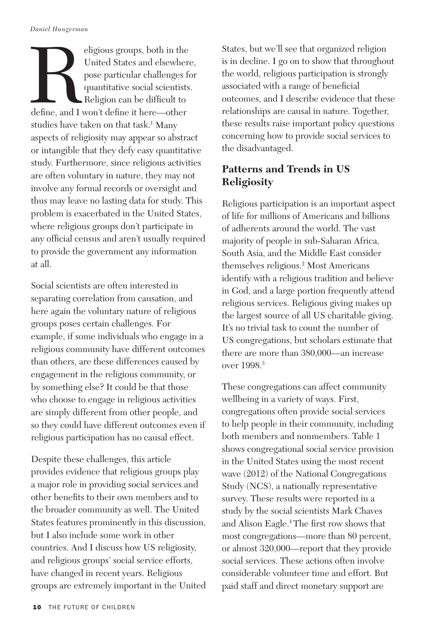eligious groups, both in the United States and elsewhere<br>
pose particular challenges for quantitative social scientists<br>
Religion can be difficult to<br>
define, and I won't define it here—other United States and elsewhere, pose particular challenges for quantitative social scientists. Religion can be difficult to studies have taken on that task.<sup>1</sup> Many aspects of religiosity may appear so abstract or intangible that they defy easy quantitative study. Furthermore, since religious activities are often voluntary in nature, they may not involve any formal records or oversight and thus may leave no lasting data for study. This problem is exacerbated in the United States, where religious groups don't participate in any official census and aren't usually required to provide the government any information at all.

Social scientists are often interested in separating correlation from causation, and here again the voluntary nature of religious groups poses certain challenges. For example, if some individuals who engage in a religious community have different outcomes than others, are these differences caused by engagement in the religious community, or by something else? It could be that those who choose to engage in religious activities are simply different from other people, and so they could have different outcomes even if religious participation has no causal effect.

Despite these challenges, this article provides evidence that religious groups play a major role in providing social services and other benefits to their own members and to the broader community as well. The United States features prominently in this discussion, but I also include some work in other countries. And I discuss how US religiosity, and religious groups' social service efforts, have changed in recent years. Religious groups are extremely important in the United States, but we'll see that organized religion is in decline. I go on to show that throughout the world, religious participation is strongly associated with a range of beneficial outcomes, and I describe evidence that these relationships are causal in nature. Together, these results raise important policy questions concerning how to provide social services to the disadvantaged.

# **Patterns and Trends in US Religiosity**

Religious participation is an important aspect of life for millions of Americans and billions of adherents around the world. The vast majority of people in sub-Saharan Africa, South Asia, and the Middle East consider themselves religious.2 Most Americans identify with a religious tradition and believe in God, and a large portion frequently attend religious services. Religious giving makes up the largest source of all US charitable giving. It's no trivial task to count the number of US congregations, but scholars estimate that there are more than 380,000—an increase over 1998.3

These congregations can affect community wellbeing in a variety of ways. First, congregations often provide social services to help people in their community, including both members and nonmembers. Table 1 shows congregational social service provision in the United States using the most recent wave (2012) of the National Congregations Study (NCS), a nationally representative survey. These results were reported in a study by the social scientists Mark Chaves and Alison Eagle.4 The first row shows that most congregations—more than 80 percent, or almost 320,000—report that they provide social services. These actions often involve considerable volunteer time and effort. But paid staff and direct monetary support are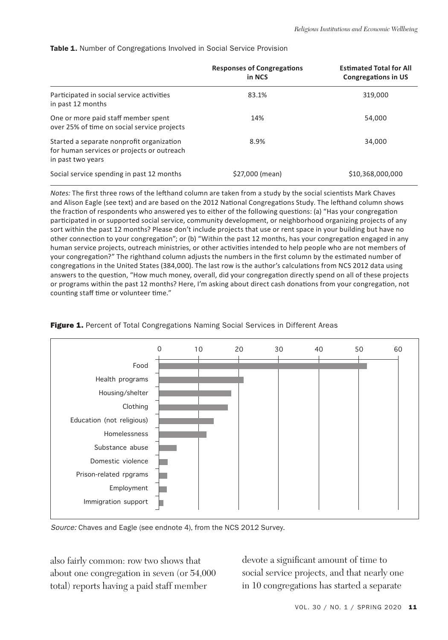|                                                                                                              | <b>Responses of Congregations</b><br>in NCS | <b>Estimated Total for All</b><br><b>Congregations in US</b> |
|--------------------------------------------------------------------------------------------------------------|---------------------------------------------|--------------------------------------------------------------|
| Participated in social service activities<br>in past 12 months                                               | 83.1%                                       | 319,000                                                      |
| One or more paid staff member spent<br>over 25% of time on social service projects                           | 14%                                         | 54.000                                                       |
| Started a separate nonprofit organization<br>for human services or projects or outreach<br>in past two years | 8.9%                                        | 34,000                                                       |
| Social service spending in past 12 months                                                                    | \$27,000 (mean)                             | \$10,368,000,000                                             |

Table 1. Number of Congregations Involved in Social Service Provision

*Notes:* The first three rows of the lefthand column are taken from a study by the social scientists Mark Chaves and Alison Eagle (see text) and are based on the 2012 National Congregations Study. The lefthand column shows the fraction of respondents who answered yes to either of the following questions: (a) "Has your congregation participated in or supported social service, community development, or neighborhood organizing projects of any sort within the past 12 months? Please don't include projects that use or rent space in your building but have no other connection to your congregation"; or (b) "Within the past 12 months, has your congregation engaged in any human service projects, outreach ministries, or other activities intended to help people who are not members of your congregation?" The righthand column adjusts the numbers in the first column by the estimated number of congregations in the United States (384,000). The last row is the author's calculations from NCS 2012 data using answers to the question, "How much money, overall, did your congregation directly spend on all of these projects or programs within the past 12 months? Here, I'm asking about direct cash donations from your congregation, not counting staff time or volunteer time."



#### **Figure 1.** Percent of Total Congregations Naming Social Services in Different Areas

*Source:* Chaves and Eagle (see endnote 4), from the NCS 2012 Survey.

also fairly common: row two shows that about one congregation in seven (or 54,000 total) reports having a paid staff member

devote a significant amount of time to social service projects, and that nearly one in 10 congregations has started a separate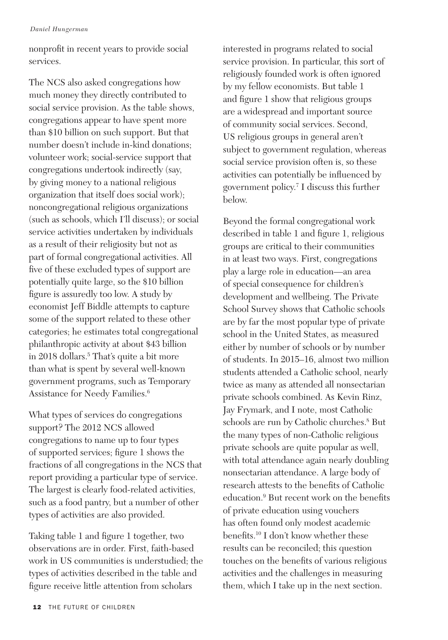nonprofit in recent years to provide social services.

The NCS also asked congregations how much money they directly contributed to social service provision. As the table shows, congregations appear to have spent more than \$10 billion on such support. But that number doesn't include in-kind donations; volunteer work; social-service support that congregations undertook indirectly (say, by giving money to a national religious organization that itself does social work); noncongregational religious organizations (such as schools, which I'll discuss); or social service activities undertaken by individuals as a result of their religiosity but not as part of formal congregational activities. All five of these excluded types of support are potentially quite large, so the \$10 billion figure is assuredly too low. A study by economist Jeff Biddle attempts to capture some of the support related to these other categories; he estimates total congregational philanthropic activity at about \$43 billion in 2018 dollars.5 That's quite a bit more than what is spent by several well-known government programs, such as Temporary Assistance for Needy Families.6

What types of services do congregations support? The 2012 NCS allowed congregations to name up to four types of supported services; figure 1 shows the fractions of all congregations in the NCS that report providing a particular type of service. The largest is clearly food-related activities, such as a food pantry, but a number of other types of activities are also provided.

Taking table 1 and figure 1 together, two observations are in order. First, faith-based work in US communities is understudied; the types of activities described in the table and figure receive little attention from scholars

interested in programs related to social service provision. In particular, this sort of religiously founded work is often ignored by my fellow economists. But table 1 and figure 1 show that religious groups are a widespread and important source of community social services. Second, US religious groups in general aren't subject to government regulation, whereas social service provision often is, so these activities can potentially be influenced by government policy.7 I discuss this further below.

Beyond the formal congregational work described in table 1 and figure 1, religious groups are critical to their communities in at least two ways. First, congregations play a large role in education—an area of special consequence for children's development and wellbeing. The Private School Survey shows that Catholic schools are by far the most popular type of private school in the United States, as measured either by number of schools or by number of students. In 2015–16, almost two million students attended a Catholic school, nearly twice as many as attended all nonsectarian private schools combined. As Kevin Rinz, Jay Frymark, and I note, most Catholic schools are run by Catholic churches.<sup>8</sup> But the many types of non-Catholic religious private schools are quite popular as well, with total attendance again nearly doubling nonsectarian attendance. A large body of research attests to the benefits of Catholic education.9 But recent work on the benefits of private education using vouchers has often found only modest academic benefits.10 I don't know whether these results can be reconciled; this question touches on the benefits of various religious activities and the challenges in measuring them, which I take up in the next section.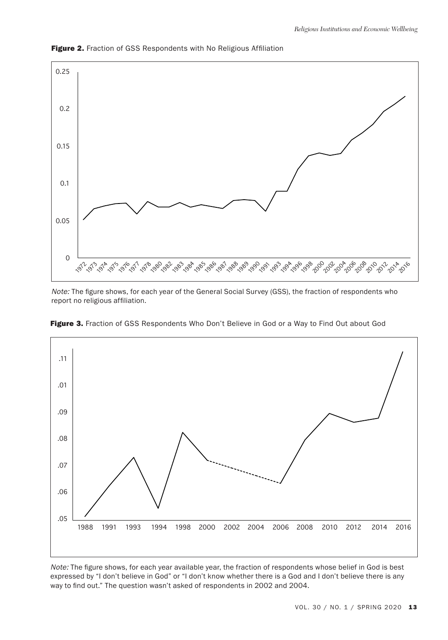

Figure 2. Fraction of GSS Respondents with No Religious Affiliation **Figure 2.** Fraction of GSS Respondents with No Religious Affiliation

Note: The figure shows, for each year of the General Social Survey (GSS), the fraction of respondents who report no religious affiliation.<br>**Figure 3.** 



Figure 3. Fraction of GSS Respondents Who Don't Believe in God or a Way to Find Out about God

Note: The figure shows, for each year available year, the fraction of respondents whose belief in God is best expressed by "I don't believe in God" or "I don't know whether there is a God and I don't believe there is any way to find out." The question wasn't asked of respondents in 2002 and 2004.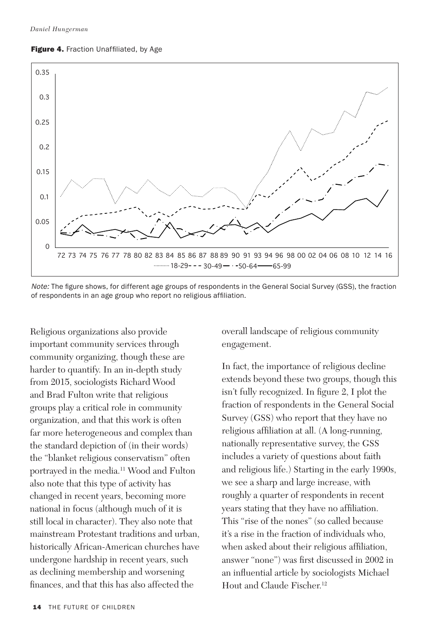#### Figure 4. Fraction Unaffiliated, by Age **Figure 4.** Fraction Unaffiliated, by Age



Note: The figure shows, for different age groups of respondents in the General Social Survey (GSS), the fraction of respondents in an age group who report no religious affiliation.

Religious organizations also provide important community services through community organizing, though these are harder to quantify. In an in-depth study from 2015, sociologists Richard Wood and Brad Fulton write that religious groups play a critical role in community organization, and that this work is often far more heterogeneous and complex than the standard depiction of (in their words) the "blanket religious conservatism" often portrayed in the media.11 Wood and Fulton also note that this type of activity has changed in recent years, becoming more national in focus (although much of it is still local in character). They also note that mainstream Protestant traditions and urban, historically African-American churches have undergone hardship in recent years, such as declining membership and worsening finances, and that this has also affected the

overall landscape of religious community engagement.

In fact, the importance of religious decline extends beyond these two groups, though this isn't fully recognized. In figure 2, I plot the fraction of respondents in the General Social Survey (GSS) who report that they have no religious affiliation at all. (A long-running, nationally representative survey, the GSS includes a variety of questions about faith and religious life.) Starting in the early 1990s, we see a sharp and large increase, with roughly a quarter of respondents in recent years stating that they have no affiliation. This "rise of the nones" (so called because it's a rise in the fraction of individuals who, when asked about their religious affiliation, answer "none") was first discussed in 2002 in an influential article by sociologists Michael Hout and Claude Fischer.<sup>12</sup>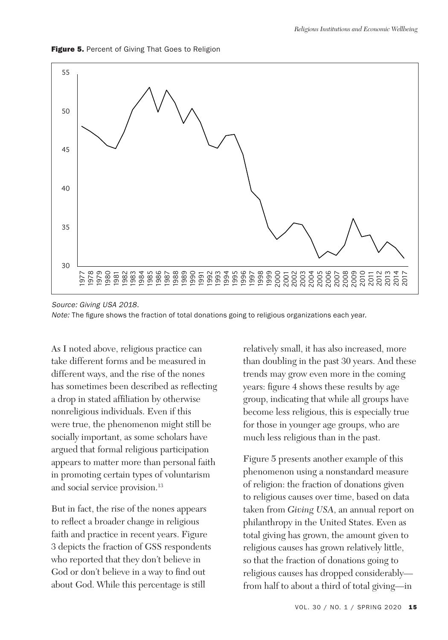

#### Figure 5. Percent of Giving That Goes to Religion **Figure 5**. Percent of Giving That Goes to Religion

*Note:* The figure shows the fraction of total donations going to religious organizations each year.

As I noted above, religious practice can take different forms and be measured in different ways, and the rise of the nones has sometimes been described as reflecting a drop in stated affiliation by otherwise nonreligious individuals. Even if this were true, the phenomenon might still be socially important, as some scholars have argued that formal religious participation appears to matter more than personal faith in promoting certain types of voluntarism and social service provision.<sup>13</sup>

But in fact, the rise of the nones appears to reflect a broader change in religious faith and practice in recent years. Figure 3 depicts the fraction of GSS respondents who reported that they don't believe in God or don't believe in a way to find out about God. While this percentage is still

relatively small, it has also increased, more than doubling in the past 30 years. And these trends may grow even more in the coming years: figure 4 shows these results by age group, indicating that while all groups have become less religious, this is especially true for those in younger age groups, who are much less religious than in the past.

Figure 5 presents another example of this phenomenon using a nonstandard measure of religion: the fraction of donations given to religious causes over time, based on data taken from *Giving USA*, an annual report on philanthropy in the United States. Even as total giving has grown, the amount given to religious causes has grown relatively little, so that the fraction of donations going to religious causes has dropped considerably from half to about a third of total giving—in

**Source: Giving USA 2018. Note:**  $\overline{a}$  **Source:** Giving USA 2018.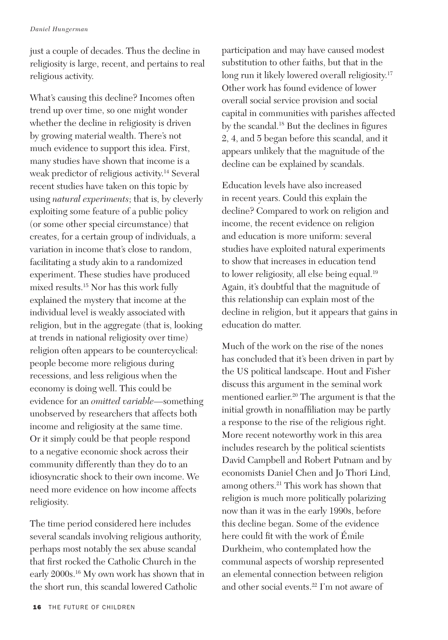just a couple of decades. Thus the decline in religiosity is large, recent, and pertains to real religious activity.

What's causing this decline? Incomes often trend up over time, so one might wonder whether the decline in religiosity is driven by growing material wealth. There's not much evidence to support this idea. First, many studies have shown that income is a weak predictor of religious activity.<sup>14</sup> Several recent studies have taken on this topic by using *natural experiments*; that is, by cleverly exploiting some feature of a public policy (or some other special circumstance) that creates, for a certain group of individuals, a variation in income that's close to random, facilitating a study akin to a randomized experiment. These studies have produced mixed results.15 Nor has this work fully explained the mystery that income at the individual level is weakly associated with religion, but in the aggregate (that is, looking at trends in national religiosity over time) religion often appears to be countercyclical: people become more religious during recessions, and less religious when the economy is doing well. This could be evidence for an *omitted variable*—something unobserved by researchers that affects both income and religiosity at the same time. Or it simply could be that people respond to a negative economic shock across their community differently than they do to an idiosyncratic shock to their own income. We need more evidence on how income affects religiosity.

The time period considered here includes several scandals involving religious authority, perhaps most notably the sex abuse scandal that first rocked the Catholic Church in the early 2000s.16 My own work has shown that in the short run, this scandal lowered Catholic

participation and may have caused modest substitution to other faiths, but that in the long run it likely lowered overall religiosity.17 Other work has found evidence of lower overall social service provision and social capital in communities with parishes affected by the scandal.<sup>18</sup> But the declines in figures 2, 4, and 5 began before this scandal, and it appears unlikely that the magnitude of the decline can be explained by scandals.

Education levels have also increased in recent years. Could this explain the decline? Compared to work on religion and income, the recent evidence on religion and education is more uniform: several studies have exploited natural experiments to show that increases in education tend to lower religiosity, all else being equal.19 Again, it's doubtful that the magnitude of this relationship can explain most of the decline in religion, but it appears that gains in education do matter.

Much of the work on the rise of the nones has concluded that it's been driven in part by the US political landscape. Hout and Fisher discuss this argument in the seminal work mentioned earlier.<sup>20</sup> The argument is that the initial growth in nonaffiliation may be partly a response to the rise of the religious right. More recent noteworthy work in this area includes research by the political scientists David Campbell and Robert Putnam and by economists Daniel Chen and Jo Thori Lind, among others.21 This work has shown that religion is much more politically polarizing now than it was in the early 1990s, before this decline began. Some of the evidence here could fit with the work of Émile Durkheim, who contemplated how the communal aspects of worship represented an elemental connection between religion and other social events.22 I'm not aware of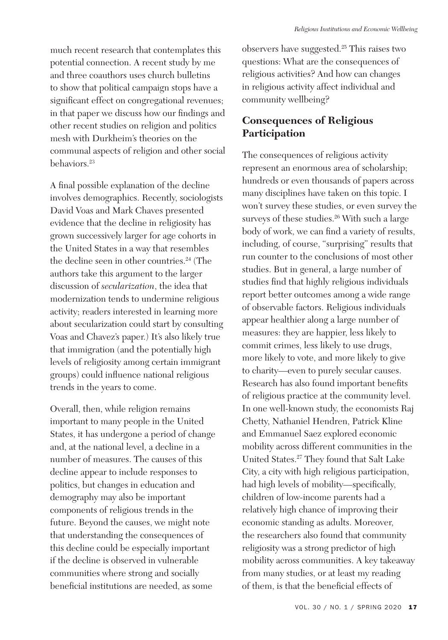much recent research that contemplates this potential connection. A recent study by me and three coauthors uses church bulletins to show that political campaign stops have a significant effect on congregational revenues; in that paper we discuss how our findings and other recent studies on religion and politics mesh with Durkheim's theories on the communal aspects of religion and other social behaviors.<sup>23</sup>

A final possible explanation of the decline involves demographics. Recently, sociologists David Voas and Mark Chaves presented evidence that the decline in religiosity has grown successively larger for age cohorts in the United States in a way that resembles the decline seen in other countries.<sup>24</sup> (The authors take this argument to the larger discussion of *secularization*, the idea that modernization tends to undermine religious activity; readers interested in learning more about secularization could start by consulting Voas and Chavez's paper.) It's also likely true that immigration (and the potentially high levels of religiosity among certain immigrant groups) could influence national religious trends in the years to come.

Overall, then, while religion remains important to many people in the United States, it has undergone a period of change and, at the national level, a decline in a number of measures. The causes of this decline appear to include responses to politics, but changes in education and demography may also be important components of religious trends in the future. Beyond the causes, we might note that understanding the consequences of this decline could be especially important if the decline is observed in vulnerable communities where strong and socially beneficial institutions are needed, as some

observers have suggested.25 This raises two questions: What are the consequences of religious activities? And how can changes in religious activity affect individual and community wellbeing?

## **Consequences of Religious Participation**

The consequences of religious activity represent an enormous area of scholarship; hundreds or even thousands of papers across many disciplines have taken on this topic. I won't survey these studies, or even survey the surveys of these studies.<sup>26</sup> With such a large body of work, we can find a variety of results, including, of course, "surprising" results that run counter to the conclusions of most other studies. But in general, a large number of studies find that highly religious individuals report better outcomes among a wide range of observable factors. Religious individuals appear healthier along a large number of measures: they are happier, less likely to commit crimes, less likely to use drugs, more likely to vote, and more likely to give to charity—even to purely secular causes. Research has also found important benefits of religious practice at the community level. In one well-known study, the economists Raj Chetty, Nathaniel Hendren, Patrick Kline and Emmanuel Saez explored economic mobility across different communities in the United States.27 They found that Salt Lake City, a city with high religious participation, had high levels of mobility—specifically, children of low-income parents had a relatively high chance of improving their economic standing as adults. Moreover, the researchers also found that community religiosity was a strong predictor of high mobility across communities. A key takeaway from many studies, or at least my reading of them, is that the beneficial effects of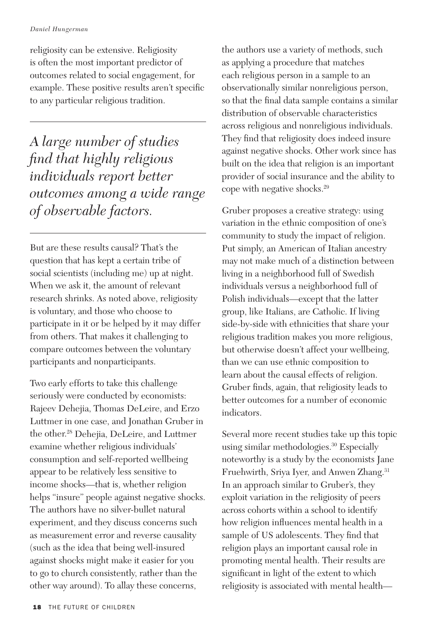religiosity can be extensive. Religiosity is often the most important predictor of outcomes related to social engagement, for example. These positive results aren't specific to any particular religious tradition.

*A large number of studies find that highly religious individuals report better outcomes among a wide range of observable factors.*

But are these results causal? That's the question that has kept a certain tribe of social scientists (including me) up at night. When we ask it, the amount of relevant research shrinks. As noted above, religiosity is voluntary, and those who choose to participate in it or be helped by it may differ from others. That makes it challenging to compare outcomes between the voluntary participants and nonparticipants.

Two early efforts to take this challenge seriously were conducted by economists: Rajeev Dehejia, Thomas DeLeire, and Erzo Luttmer in one case, and Jonathan Gruber in the other.28 Dehejia, DeLeire, and Luttmer examine whether religious individuals' consumption and self-reported wellbeing appear to be relatively less sensitive to income shocks—that is, whether religion helps "insure" people against negative shocks. The authors have no silver-bullet natural experiment, and they discuss concerns such as measurement error and reverse causality (such as the idea that being well-insured against shocks might make it easier for you to go to church consistently, rather than the other way around). To allay these concerns,

the authors use a variety of methods, such as applying a procedure that matches each religious person in a sample to an observationally similar nonreligious person, so that the final data sample contains a similar distribution of observable characteristics across religious and nonreligious individuals. They find that religiosity does indeed insure against negative shocks. Other work since has built on the idea that religion is an important provider of social insurance and the ability to cope with negative shocks.29

Gruber proposes a creative strategy: using variation in the ethnic composition of one's community to study the impact of religion. Put simply, an American of Italian ancestry may not make much of a distinction between living in a neighborhood full of Swedish individuals versus a neighborhood full of Polish individuals—except that the latter group, like Italians, are Catholic. If living side-by-side with ethnicities that share your religious tradition makes you more religious, but otherwise doesn't affect your wellbeing, than we can use ethnic composition to learn about the causal effects of religion. Gruber finds, again, that religiosity leads to better outcomes for a number of economic indicators.

Several more recent studies take up this topic using similar methodologies.30 Especially noteworthy is a study by the economists Jane Fruehwirth, Sriya Iyer, and Anwen Zhang.31 In an approach similar to Gruber's, they exploit variation in the religiosity of peers across cohorts within a school to identify how religion influences mental health in a sample of US adolescents. They find that religion plays an important causal role in promoting mental health. Their results are significant in light of the extent to which religiosity is associated with mental health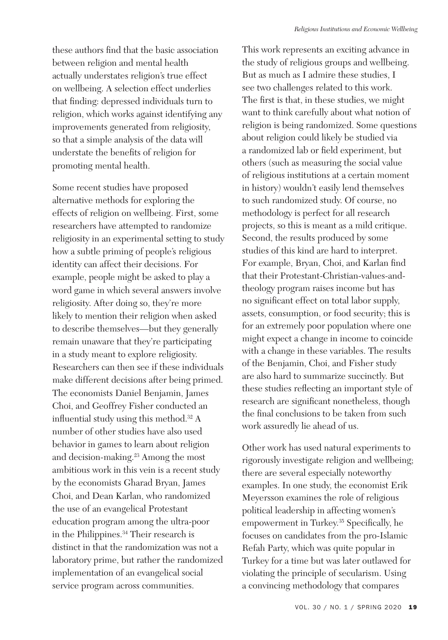these authors find that the basic association between religion and mental health actually understates religion's true effect on wellbeing. A selection effect underlies that finding: depressed individuals turn to religion, which works against identifying any improvements generated from religiosity, so that a simple analysis of the data will understate the benefits of religion for promoting mental health.

Some recent studies have proposed alternative methods for exploring the effects of religion on wellbeing. First, some researchers have attempted to randomize religiosity in an experimental setting to study how a subtle priming of people's religious identity can affect their decisions. For example, people might be asked to play a word game in which several answers involve religiosity. After doing so, they're more likely to mention their religion when asked to describe themselves—but they generally remain unaware that they're participating in a study meant to explore religiosity. Researchers can then see if these individuals make different decisions after being primed. The economists Daniel Benjamin, James Choi, and Geoffrey Fisher conducted an influential study using this method.<sup>32</sup> A number of other studies have also used behavior in games to learn about religion and decision-making.23 Among the most ambitious work in this vein is a recent study by the economists Gharad Bryan, James Choi, and Dean Karlan, who randomized the use of an evangelical Protestant education program among the ultra-poor in the Philippines.34 Their research is distinct in that the randomization was not a laboratory prime, but rather the randomized implementation of an evangelical social service program across communities.

This work represents an exciting advance in the study of religious groups and wellbeing. But as much as I admire these studies, I see two challenges related to this work. The first is that, in these studies, we might want to think carefully about what notion of religion is being randomized. Some questions about religion could likely be studied via a randomized lab or field experiment, but others (such as measuring the social value of religious institutions at a certain moment in history) wouldn't easily lend themselves to such randomized study. Of course, no methodology is perfect for all research projects, so this is meant as a mild critique. Second, the results produced by some studies of this kind are hard to interpret. For example, Bryan, Choi, and Karlan find that their Protestant-Christian-values-andtheology program raises income but has no significant effect on total labor supply, assets, consumption, or food security; this is for an extremely poor population where one might expect a change in income to coincide with a change in these variables. The results of the Benjamin, Choi, and Fisher study are also hard to summarize succinctly. But these studies reflecting an important style of research are significant nonetheless, though the final conclusions to be taken from such work assuredly lie ahead of us.

Other work has used natural experiments to rigorously investigate religion and wellbeing; there are several especially noteworthy examples. In one study, the economist Erik Meyersson examines the role of religious political leadership in affecting women's empowerment in Turkey.35 Specifically, he focuses on candidates from the pro-Islamic Refah Party, which was quite popular in Turkey for a time but was later outlawed for violating the principle of secularism. Using a convincing methodology that compares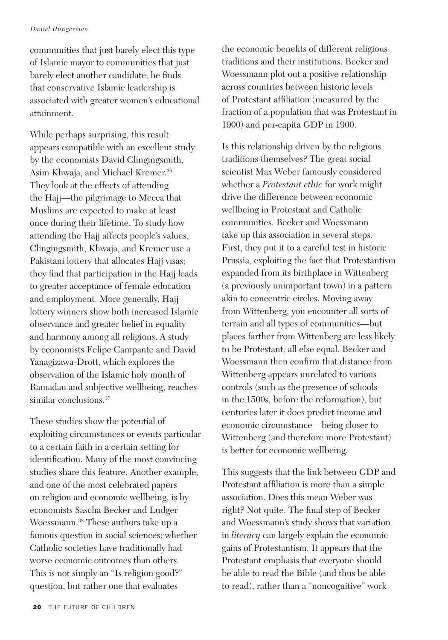communities that just barely elect this type of Islamic mayor to communities that just barely elect another candidate, he finds that conservative Islamic leadership is associated with greater women's educational attainment.

While perhaps surprising, this result appears compatible with an excellent study by the economists David Clingingsmith, Asim Khwaja, and Michael Kremer.<sup>36</sup> They look at the effects of attending the Hajj—the pilgrimage to Mecca that Muslims are expected to make at least once during their lifetime. To study how attending the Hajj affects people's values, Clingingsmith, Khwaja, and Kremer use a Pakistani lottery that allocates Hajj visas; they find that participation in the Hajj leads to greater acceptance of female education and employment. More generally, Hajj lottery winners show both increased Islamic observance and greater belief in equality and harmony among all religions. A study by economists Felipe Campante and David Yanagizawa-Drott, which explores the observation of the Islamic holy month of Ramadan and subjective wellbeing, reaches similar conclusions.<sup>37</sup>

These studies show the potential of exploiting circumstances or events particular to a certain faith in a certain setting for identification. Many of the most convincing studies share this feature. Another example, and one of the most celebrated papers on religion and economic wellbeing, is by economists Sascha Becker and Ludger Woessmann.<sup>38</sup> These authors take up a famous question in social sciences: whether Catholic societies have traditionally had worse economic outcomes than others. This is not simply an "Is religion good?" question, but rather one that evaluates

the economic benefits of different religious traditions and their institutions. Becker and Woessmann plot out a positive relationship across countries between historic levels of Protestant affiliation (measured by the fraction of a population that was Protestant in 1900) and per-capita GDP in 1900.

Is this relationship driven by the religious traditions themselves? The great social scientist Max Weber famously considered whether a *Protestant ethic* for work might drive the difference between economic wellbeing in Protestant and Catholic communities. Becker and Woessmann take up this association in several steps. First, they put it to a careful test in historic Prussia, exploiting the fact that Protestantism expanded from its birthplace in Wittenberg (a previously unimportant town) in a pattern akin to concentric circles. Moving away from Wittenberg, you encounter all sorts of terrain and all types of communities—but places farther from Wittenberg are less likely to be Protestant, all else equal. Becker and Woessmann then confirm that distance from Wittenberg appears unrelated to various controls (such as the presence of schools in the 1500s, before the reformation), but centuries later it does predict income and economic circumstance—being closer to Wittenberg (and therefore more Protestant) is better for economic wellbeing.

This suggests that the link between GDP and Protestant affiliation is more than a simple association. Does this mean Weber was right? Not quite. The final step of Becker and Woessmann's study shows that variation in *literacy* can largely explain the economic gains of Protestantism. It appears that the Protestant emphasis that everyone should be able to read the Bible (and thus be able to read), rather than a "noncognitive" work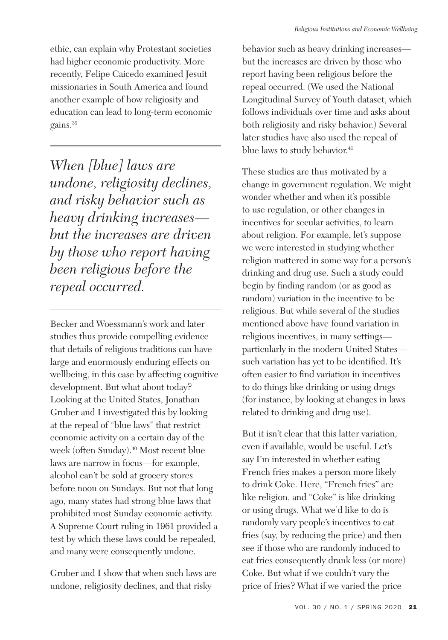ethic, can explain why Protestant societies had higher economic productivity. More recently, Felipe Caicedo examined Jesuit missionaries in South America and found another example of how religiosity and education can lead to long-term economic gains.39

*When [blue] laws are undone, religiosity declines, and risky behavior such as heavy drinking increases but the increases are driven by those who report having been religious before the repeal occurred.*

Becker and Woessmann's work and later studies thus provide compelling evidence that details of religious traditions can have large and enormously enduring effects on wellbeing, in this case by affecting cognitive development. But what about today? Looking at the United States, Jonathan Gruber and I investigated this by looking at the repeal of "blue laws" that restrict economic activity on a certain day of the week (often Sunday).40 Most recent blue laws are narrow in focus—for example, alcohol can't be sold at grocery stores before noon on Sundays. But not that long ago, many states had strong blue laws that prohibited most Sunday economic activity. A Supreme Court ruling in 1961 provided a test by which these laws could be repealed, and many were consequently undone.

Gruber and I show that when such laws are undone, religiosity declines, and that risky

behavior such as heavy drinking increases but the increases are driven by those who report having been religious before the repeal occurred. (We used the National Longitudinal Survey of Youth dataset, which follows individuals over time and asks about both religiosity and risky behavior.) Several later studies have also used the repeal of blue laws to study behavior.<sup>41</sup>

These studies are thus motivated by a change in government regulation. We might wonder whether and when it's possible to use regulation, or other changes in incentives for secular activities, to learn about religion. For example, let's suppose we were interested in studying whether religion mattered in some way for a person's drinking and drug use. Such a study could begin by finding random (or as good as random) variation in the incentive to be religious. But while several of the studies mentioned above have found variation in religious incentives, in many settings particularly in the modern United States such variation has yet to be identified. It's often easier to find variation in incentives to do things like drinking or using drugs (for instance, by looking at changes in laws related to drinking and drug use).

But it isn't clear that this latter variation, even if available, would be useful. Let's say I'm interested in whether eating French fries makes a person more likely to drink Coke. Here, "French fries" are like religion, and "Coke" is like drinking or using drugs. What we'd like to do is randomly vary people's incentives to eat fries (say, by reducing the price) and then see if those who are randomly induced to eat fries consequently drank less (or more) Coke. But what if we couldn't vary the price of fries? What if we varied the price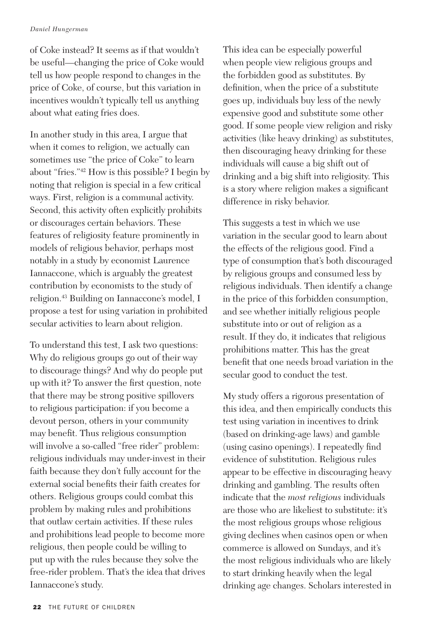of Coke instead? It seems as if that wouldn't be useful—changing the price of Coke would tell us how people respond to changes in the price of Coke, of course, but this variation in incentives wouldn't typically tell us anything about what eating fries does.

In another study in this area, I argue that when it comes to religion, we actually can sometimes use "the price of Coke" to learn about "fries."42 How is this possible? I begin by noting that religion is special in a few critical ways. First, religion is a communal activity. Second, this activity often explicitly prohibits or discourages certain behaviors. These features of religiosity feature prominently in models of religious behavior, perhaps most notably in a study by economist Laurence Iannaccone, which is arguably the greatest contribution by economists to the study of religion.43 Building on Iannaccone's model, I propose a test for using variation in prohibited secular activities to learn about religion.

To understand this test, I ask two questions: Why do religious groups go out of their way to discourage things? And why do people put up with it? To answer the first question, note that there may be strong positive spillovers to religious participation: if you become a devout person, others in your community may benefit. Thus religious consumption will involve a so-called "free rider" problem: religious individuals may under-invest in their faith because they don't fully account for the external social benefits their faith creates for others. Religious groups could combat this problem by making rules and prohibitions that outlaw certain activities. If these rules and prohibitions lead people to become more religious, then people could be willing to put up with the rules because they solve the free-rider problem. That's the idea that drives Iannaccone's study.

This idea can be especially powerful when people view religious groups and the forbidden good as substitutes. By definition, when the price of a substitute goes up, individuals buy less of the newly expensive good and substitute some other good. If some people view religion and risky activities (like heavy drinking) as substitutes, then discouraging heavy drinking for these individuals will cause a big shift out of drinking and a big shift into religiosity. This is a story where religion makes a significant difference in risky behavior.

This suggests a test in which we use variation in the secular good to learn about the effects of the religious good. Find a type of consumption that's both discouraged by religious groups and consumed less by religious individuals. Then identify a change in the price of this forbidden consumption, and see whether initially religious people substitute into or out of religion as a result. If they do, it indicates that religious prohibitions matter. This has the great benefit that one needs broad variation in the secular good to conduct the test.

My study offers a rigorous presentation of this idea, and then empirically conducts this test using variation in incentives to drink (based on drinking-age laws) and gamble (using casino openings). I repeatedly find evidence of substitution. Religious rules appear to be effective in discouraging heavy drinking and gambling. The results often indicate that the *most religious* individuals are those who are likeliest to substitute: it's the most religious groups whose religious giving declines when casinos open or when commerce is allowed on Sundays, and it's the most religious individuals who are likely to start drinking heavily when the legal drinking age changes. Scholars interested in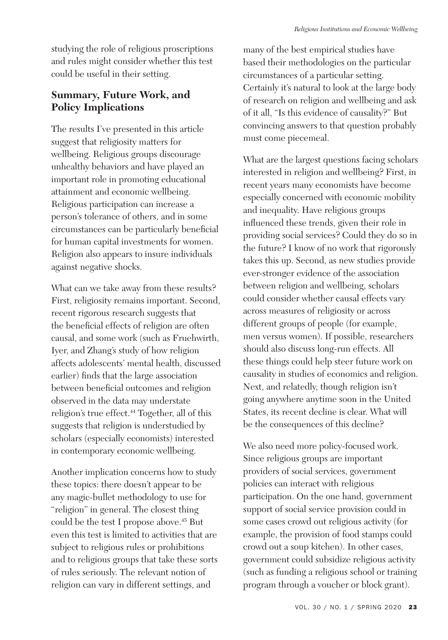studying the role of religious proscriptions and rules might consider whether this test could be useful in their setting.

# **Summary, Future Work, and Policy Implications**

The results I've presented in this article suggest that religiosity matters for wellbeing. Religious groups discourage unhealthy behaviors and have played an important role in promoting educational attainment and economic wellbeing. Religious participation can increase a person's tolerance of others, and in some circumstances can be particularly beneficial for human capital investments for women. Religion also appears to insure individuals against negative shocks.

What can we take away from these results? First, religiosity remains important. Second, recent rigorous research suggests that the beneficial effects of religion are often causal, and some work (such as Fruehwirth, Iyer, and Zhang's study of how religion affects adolescents' mental health, discussed earlier) finds that the large association between beneficial outcomes and religion observed in the data may understate religion's true effect.<sup>44</sup> Together, all of this suggests that religion is understudied by scholars (especially economists) interested in contemporary economic wellbeing.

Another implication concerns how to study these topics: there doesn't appear to be any magic-bullet methodology to use for "religion" in general. The closest thing could be the test I propose above.<sup>45</sup> But even this test is limited to activities that are subject to religious rules or prohibitions and to religious groups that take these sorts of rules seriously. The relevant notion of religion can vary in different settings, and

many of the best empirical studies have based their methodologies on the particular circumstances of a particular setting. Certainly it's natural to look at the large body of research on religion and wellbeing and ask of it all, "Is this evidence of causality?" But convincing answers to that question probably must come piecemeal.

What are the largest questions facing scholars interested in religion and wellbeing? First, in recent years many economists have become especially concerned with economic mobility and inequality. Have religious groups influenced these trends, given their role in providing social services? Could they do so in the future? I know of no work that rigorously takes this up. Second, as new studies provide ever-stronger evidence of the association between religion and wellbeing, scholars could consider whether causal effects vary across measures of religiosity or across different groups of people (for example, men versus women). If possible, researchers should also discuss long-run effects. All these things could help steer future work on causality in studies of economics and religion. Next, and relatedly, though religion isn't going anywhere anytime soon in the United States, its recent decline is clear. What will be the consequences of this decline?

We also need more policy-focused work. Since religious groups are important providers of social services, government policies can interact with religious participation. On the one hand, government support of social service provision could in some cases crowd out religious activity (for example, the provision of food stamps could crowd out a soup kitchen). In other cases, government could subsidize religious activity (such as funding a religious school or training program through a voucher or block grant).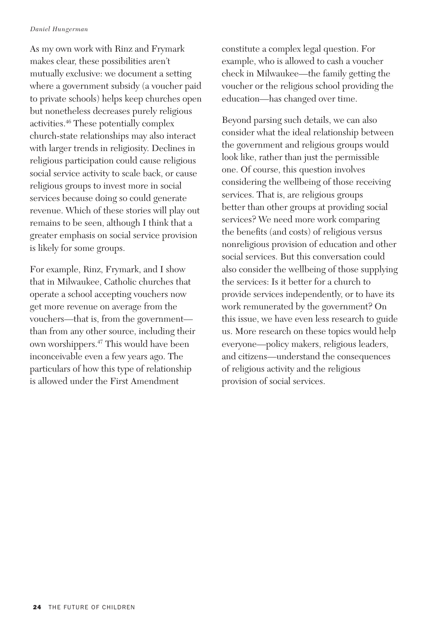As my own work with Rinz and Frymark makes clear, these possibilities aren't mutually exclusive: we document a setting where a government subsidy (a voucher paid to private schools) helps keep churches open but nonetheless decreases purely religious activities.46 These potentially complex church-state relationships may also interact with larger trends in religiosity. Declines in religious participation could cause religious social service activity to scale back, or cause religious groups to invest more in social services because doing so could generate revenue. Which of these stories will play out remains to be seen, although I think that a greater emphasis on social service provision is likely for some groups.

For example, Rinz, Frymark, and I show that in Milwaukee, Catholic churches that operate a school accepting vouchers now get more revenue on average from the vouchers—that is, from the government than from any other source, including their own worshippers.47 This would have been inconceivable even a few years ago. The particulars of how this type of relationship is allowed under the First Amendment

constitute a complex legal question. For example, who is allowed to cash a voucher check in Milwaukee—the family getting the voucher or the religious school providing the education—has changed over time.

Beyond parsing such details, we can also consider what the ideal relationship between the government and religious groups would look like, rather than just the permissible one. Of course, this question involves considering the wellbeing of those receiving services. That is, are religious groups better than other groups at providing social services? We need more work comparing the benefits (and costs) of religious versus nonreligious provision of education and other social services. But this conversation could also consider the wellbeing of those supplying the services: Is it better for a church to provide services independently, or to have its work remunerated by the government? On this issue, we have even less research to guide us. More research on these topics would help everyone—policy makers, religious leaders, and citizens—understand the consequences of religious activity and the religious provision of social services.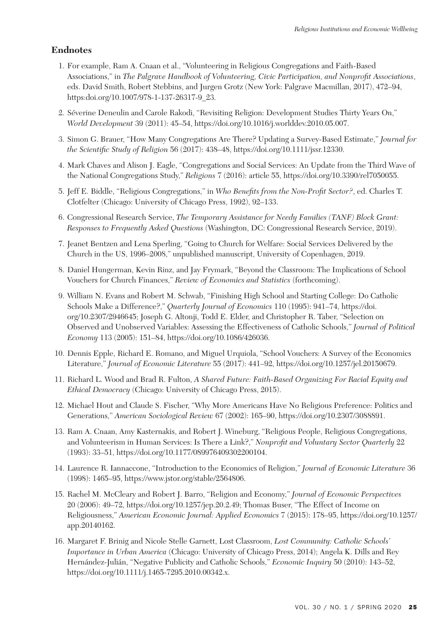#### **Endnotes**

- 1. For example, Ram A. Cnaan et al., "Volunteering in Religious Congregations and Faith-Based Associations," in *The Palgrave Handbook of Volunteering, Civic Participation, and Nonprofit Associations*, eds. David Smith, Robert Stebbins, and Jurgen Grotz (New York: Palgrave Macmillan, 2017), 472–94, https:doi.org/10.1007/978-1-137-26317-9\_23.
- 2. Séverine Deneulin and Carole Rakodi, "Revisiting Religion: Development Studies Thirty Years On," *World Development* 39 (2011): 45–54, https://doi.org/10.1016/j.worlddev.2010.05.007.
- 3. Simon G. Brauer, "How Many Congregations Are There? Updating a Survey-Based Estimate," *Journal for the Scientific Study of Religion* 56 (2017): 438–48, https://doi.org/10.1111/jssr.12330.
- 4. Mark Chaves and Alison J. Eagle, "Congregations and Social Services: An Update from the Third Wave of the National Congregations Study," *Religions* 7 (2016): article 55, https://doi.org/10.3390/rel7050055.
- 5. Jeff E. Biddle, "Religious Congregations," in *Who Benefits from the Non-Profit Sector?*, ed. Charles T. Clotfelter (Chicago: University of Chicago Press, 1992), 92–133.
- 6. Congressional Research Service, *The Temporary Assistance for Needy Families (TANF) Block Grant: Responses to Frequently Asked Questions* (Washington, DC: Congressional Research Service, 2019).
- 7. Jeanet Bentzen and Lena Sperling, "Going to Church for Welfare: Social Services Delivered by the Church in the US, 1996–2008," unpublished manuscript, University of Copenhagen, 2019.
- 8. Daniel Hungerman, Kevin Rinz, and Jay Frymark, "Beyond the Classroom: The Implications of School Vouchers for Church Finances," *Review of Economics and Statistics* (forthcoming).
- 9. William N. Evans and Robert M. Schwab, "Finishing High School and Starting College: Do Catholic Schools Make a Difference?," *Quarterly Journal of Economics* 110 (1995): 941–74, https://doi. org/10.2307/2946645; Joseph G. Altonji, Todd E. Elder, and Christopher R. Taber, "Selection on Observed and Unobserved Variables: Assessing the Effectiveness of Catholic Schools," *Journal of Political Economy* 113 (2005): 151–84, https://doi.org/10.1086/426036.
- 10. Dennis Epple, Richard E. Romano, and Miguel Urquiola, "School Vouchers: A Survey of the Economics Literature," *Journal of Economic Literature* 55 (2017): 441–92, https://doi.org/10.1257/jel.20150679.
- 11. Richard L. Wood and Brad R. Fulton, *A Shared Future: Faith-Based Organizing For Racial Equity and Ethical Democracy* (Chicago: University of Chicago Press, 2015).
- 12. Michael Hout and Claude S. Fischer, "Why More Americans Have No Religious Preference: Politics and Generations," *American Sociological Review* 67 (2002): 165–90, https://doi.org/10.2307/3088891.
- 13. Ram A. Cnaan, Amy Kasternakis, and Robert J. Wineburg, "Religious People, Religious Congregations, and Volunteerism in Human Services: Is There a Link?," *Nonprofit and Voluntary Sector Quarterly* 22 (1993): 33–51, https://doi.org/10.1177/089976409302200104.
- 14. Laurence R. Iannaccone, "Introduction to the Economics of Religion," *Journal of Economic Literature* 36 (1998): 1465–95, https://www.jstor.org/stable/2564806.
- 15. Rachel M. McCleary and Robert J. Barro, "Religion and Economy," *Journal of Economic Perspectives* 20 (2006): 49–72, https://doi.org/10.1257/jep.20.2.49; Thomas Buser, "The Effect of Income on Religiousness," *American Economic Journal: Applied Economics* 7 (2015): 178–95, https://doi.org/10.1257/ app.20140162.
- 16. Margaret F. Brinig and Nicole Stelle Garnett, Lost Classroom, *Lost Community: Catholic Schools' Importance in Urban America* (Chicago: University of Chicago Press, 2014); Angela K. Dills and Rey Hernández-Julián, "Negative Publicity and Catholic Schools," *Economic Inquiry* 50 (2010): 143–52, https://doi.org/10.1111/j.1465-7295.2010.00342.x.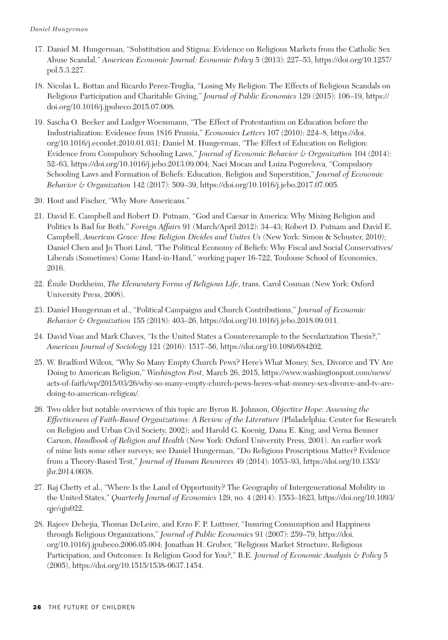- 17. Daniel M. Hungerman, "Substitution and Stigma: Evidence on Religious Markets from the Catholic Sex Abuse Scandal," *American Economic Journal: Economic Policy* 5 (2013): 227–53, https://doi.org/10.1257/ pol.5.3.227.
- 18. Nicolas L. Bottan and Ricardo Perez-Truglia, "Losing My Religion: The Effects of Religious Scandals on Religious Participation and Charitable Giving," *Journal of Public Economics* 129 (2015): 106–19, https:// doi.org/10.1016/j.jpubeco.2015.07.008.
- 19. Sascha O. Becker and Ludger Woessmann, "The Effect of Protestantism on Education before the Industrialization: Evidence from 1816 Prussia," *Economics Letters* 107 (2010): 224–8, https://doi. org/10.1016/j.econlet.2010.01.031; Daniel M. Hungerman, "The Effect of Education on Religion: Evidence from Compulsory Schooling Laws," *Journal of Economic Behavior & Organization* 104 (2014): 52–63, https://doi.org/10.1016/j.jebo.2013.09.004; Naci Mocan and Luiza Pogorelova, "Compulsory Schooling Laws and Formation of Beliefs: Education, Religion and Superstition," *Journal of Economic Behavior & Organization* 142 (2017): 509–39, https://doi.org/10.1016/j.jebo.2017.07.005.
- 20. Hout and Fischer, "Why More Americans."
- 21. David E. Campbell and Robert D. Putnam, "God and Caesar in America: Why Mixing Religion and Politics Is Bad for Both," *Foreign Affairs* 91 (March/April 2012): 34–43; Robert D. Putnam and David E. Campbell, *American Grace: How Religion Divides and Unites Us* (New York: Simon & Schuster, 2010); Daniel Chen and Jo Thori Lind, "The Political Economy of Beliefs: Why Fiscal and Social Conservatives/ Liberals (Sometimes) Come Hand-in-Hand," working paper 16-722, Toulouse School of Economics, 2016.
- 22. Émile Durkheim, *The Elementary Forms of Religious Life*, trans. Carol Cosman (New York: Oxford University Press, 2008).
- 23. Daniel Hungerman et al., "Political Campaigns and Church Contributions," *Journal of Economic Behavior & Organization* 155 (2018): 403–26, https://doi.org/10.1016/j.jebo.2018.09.011.
- 24. David Voas and Mark Chaves, "Is the United States a Counterexample to the Secularization Thesis?," *American Journal of Sociology* 121 (2016): 1517–56, https://doi.org/10.1086/684202.
- 25. W. Bradford Wilcox, "Why So Many Empty Church Pews? Here's What Money, Sex, Divorce and TV Are Doing to American Religion," *Washington Post*, March 26, 2015, https://www.washingtonpost.com/news/ acts-of-faith/wp/2015/03/26/why-so-many-empty-church-pews-heres-what-money-sex-divorce-and-tv-aredoing-to-american-religion/.
- 26. Two older but notable overviews of this topic are Byron R. Johnson, *Objective Hope: Assessing the Effectiveness of Faith-Based Organizations: A Review of the Literature* (Philadelphia: Center for Research on Religion and Urban Civil Society, 2002); and Harold G. Koenig, Dana E. King, and Verna Benner Carson, *Handbook of Religion and Health* (New York: Oxford University Press, 2001). An earlier work of mine lists some other surveys; see Daniel Hungerman, "Do Religious Proscriptions Matter? Evidence from a Theory-Based Test," *Journal of Human Resources* 49 (2014): 1053–93, https://doi.org/10.1353/ jhr.2014.0038.
- 27. Raj Chetty et al., "Where Is the Land of Opportunity? The Geography of Intergenerational Mobility in the United States," *Quarterly Journal of Economics* 129, no. 4 (2014): 1553–1623, https://doi.org/10.1093/ qje/qju022.
- 28. Rajeev Dehejia, Thomas DeLeire, and Erzo F. P. Luttmer, "Insuring Consumption and Happiness through Religious Organizations," *Journal of Public Economics* 91 (2007): 259–79, https://doi. org/10.1016/j.jpubeco.2006.05.004; Jonathan H. Gruber, "Religious Market Structure, Religious Participation, and Outcomes: Is Religion Good for You?," B.E. *Journal of Economic Analysis & Policy* 5 (2005), https://doi.org/10.1515/1538-0637.1454.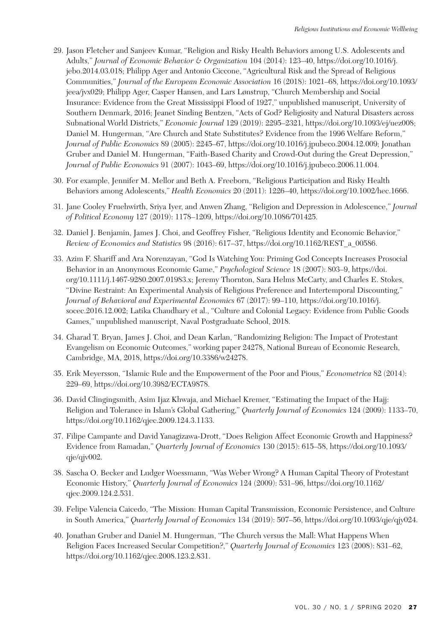- 29. Jason Fletcher and Sanjeev Kumar, "Religion and Risky Health Behaviors among U.S. Adolescents and Adults," *Journal of Economic Behavior & Organization* 104 (2014): 123–40, https://doi.org/10.1016/j. jebo.2014.03.018; Philipp Ager and Antonio Ciccone, "Agricultural Risk and the Spread of Religious Communities," *Journal of the European Economic Association* 16 (2018): 1021–68, https://doi.org/10.1093/ jeea/jvx029; Philipp Ager, Casper Hansen, and Lars Lønstrup, "Church Membership and Social Insurance: Evidence from the Great Mississippi Flood of 1927," unpublished manuscript, University of Southern Denmark, 2016; Jeanet Sinding Bentzen, "Acts of God? Religiosity and Natural Disasters across Subnational World Districts," *Economic Journal* 129 (2019): 2295–2321, https://doi.org/10.1093/ej/uez008; Daniel M. Hungerman, "Are Church and State Substitutes? Evidence from the 1996 Welfare Reform," *Journal of Public Economics* 89 (2005): 2245–67, https://doi.org/10.1016/j.jpubeco.2004.12.009; Jonathan Gruber and Daniel M. Hungerman, "Faith-Based Charity and Crowd-Out during the Great Depression," *Journal of Public Economics* 91 (2007): 1043–69, https://doi.org/10.1016/j.jpubeco.2006.11.004.
- 30. For example, Jennifer M. Mellor and Beth A. Freeborn, "Religious Participation and Risky Health Behaviors among Adolescents," *Health Economics* 20 (2011): 1226–40, https://doi.org/10.1002/hec.1666.
- 31. Jane Cooley Fruehwirth, Sriya Iyer, and Anwen Zhang, "Religion and Depression in Adolescence," *Journal of Political Economy* 127 (2019): 1178–1209, https://doi.org/10.1086/701425.
- 32. Daniel J. Benjamin, James J. Choi, and Geoffrey Fisher, "Religious Identity and Economic Behavior," *Review of Economics and Statistics* 98 (2016): 617–37, https://doi.org/10.1162/REST\_a\_00586.
- 33. Azim F. Shariff and Ara Norenzayan, "God Is Watching You: Priming God Concepts Increases Prosocial Behavior in an Anonymous Economic Game," *Psychological Science* 18 (2007): 803–9, https://doi. org/10.1111/j.1467-9280.2007.01983.x; Jeremy Thornton, Sara Helms McCarty, and Charles E. Stokes, "Divine Restraint: An Experimental Analysis of Religious Preference and Intertemporal Discounting," *Journal of Behavioral and Experimental Economics* 67 (2017): 99–110, https://doi.org/10.1016/j. socec.2016.12.002; Latika Chaudhary et al., "Culture and Colonial Legacy: Evidence from Public Goods Games," unpublished manuscript, Naval Postgraduate School, 2018.
- 34. Gharad T. Bryan, James J. Choi, and Dean Karlan, "Randomizing Religion: The Impact of Protestant Evangelism on Economic Outcomes," working paper 24278, National Bureau of Economic Research, Cambridge, MA, 2018, https://doi.org/10.3386/w24278.
- 35. Erik Meyersson, "Islamic Rule and the Empowerment of the Poor and Pious," *Econometrica* 82 (2014): 229–69, https://doi.org/10.3982/ECTA9878.
- 36. David Clingingsmith, Asim Ijaz Khwaja, and Michael Kremer, "Estimating the Impact of the Hajj: Religion and Tolerance in Islam's Global Gathering," *Quarterly Journal of Economics* 124 (2009): 1133–70, https://doi.org/10.1162/qjec.2009.124.3.1133.
- 37. Filipe Campante and David Yanagizawa-Drott, "Does Religion Affect Economic Growth and Happiness? Evidence from Ramadan," *Quarterly Journal of Economics* 130 (2015): 615–58, https://doi.org/10.1093/ qje/qjv002.
- 38. Sascha O. Becker and Ludger Woessmann, "Was Weber Wrong? A Human Capital Theory of Protestant Economic History," *Quarterly Journal of Economics* 124 (2009): 531–96, https://doi.org/10.1162/ qjec.2009.124.2.531.
- 39. Felipe Valencia Caicedo, "The Mission: Human Capital Transmission, Economic Persistence, and Culture in South America," *Quarterly Journal of Economics* 134 (2019): 507–56, https://doi.org/10.1093/qje/qjy024.
- 40. Jonathan Gruber and Daniel M. Hungerman, "The Church versus the Mall: What Happens When Religion Faces Increased Secular Competition?," *Quarterly Journal of Economics* 123 (2008): 831–62, https://doi.org/10.1162/qjec.2008.123.2.831.